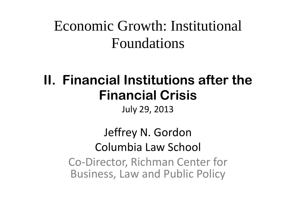#### Economic Growth: Institutional Foundations

#### **II. Financial Institutions after the Financial Crisis**

July 29, 2013

#### Jeffrey N. Gordon Columbia Law School Co-Director, Richman Center for Business, Law and Public Policy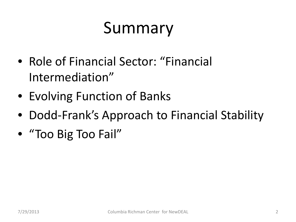#### Summary

- Role of Financial Sector: "Financial Intermediation"
- Evolving Function of Banks
- Dodd-Frank's Approach to Financial Stability
- "Too Big Too Fail"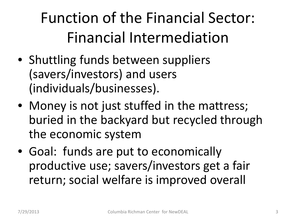Function of the Financial Sector: Financial Intermediation

- Shuttling funds between suppliers (savers/investors) and users (individuals/businesses).
- Money is not just stuffed in the mattress; buried in the backyard but recycled through the economic system
- Goal: funds are put to economically productive use; savers/investors get a fair return; social welfare is improved overall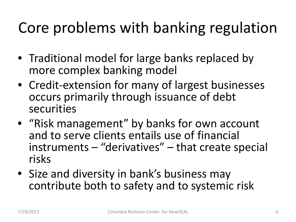#### Core problems with banking regulation

- Traditional model for large banks replaced by more complex banking model
- Credit-extension for many of largest businesses occurs primarily through issuance of debt securities
- "Risk management" by banks for own account and to serve clients entails use of financial instruments – "derivatives" – that create special risks
- Size and diversity in bank's business may contribute both to safety and to systemic risk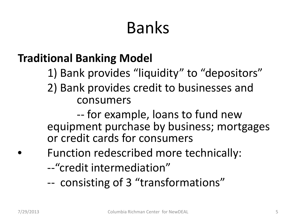## Banks

#### **Traditional Banking Model**

- 1) Bank provides "liquidity" to "depositors"
- 2) Bank provides credit to businesses and consumers

-- for example, loans to fund new equipment purchase by business; mortgages or credit cards for consumers

- Function redescribed more technically:
- --"credit intermediation"
- -- consisting of 3 "transformations"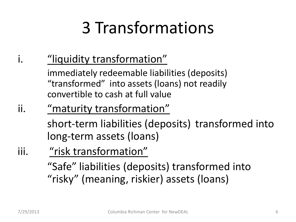## 3 Transformations

#### i. "liquidity transformation"

immediately redeemable liabilities (deposits) "transformed" into assets (loans) not readily convertible to cash at full value

#### ii. "maturity transformation"

short-term liabilities (deposits) transformed into long-term assets (loans)

iii. "risk transformation" "Safe" liabilities (deposits) transformed into "risky" (meaning, riskier) assets (loans)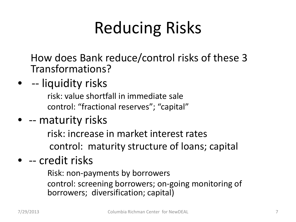## Reducing Risks

How does Bank reduce/control risks of these 3 Transformations?

• -- liquidity risks

risk: value shortfall in immediate sale control: "fractional reserves"; "capital"

• -- maturity risks

risk: increase in market interest rates

control: maturity structure of loans; capital

#### • -- credit risks

Risk: non-payments by borrowers

control: screening borrowers; on-going monitoring of borrowers; diversification; capital)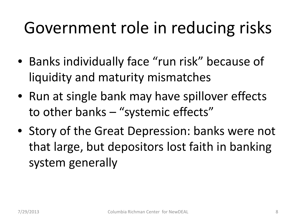### Government role in reducing risks

- Banks individually face "run risk" because of liquidity and maturity mismatches
- Run at single bank may have spillover effects to other banks – "systemic effects"
- Story of the Great Depression: banks were not that large, but depositors lost faith in banking system generally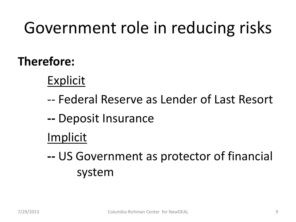## Government role in reducing risks

#### **Therefore:**

#### Explicit

- -- Federal Reserve as Lender of Last Resort
- **--** Deposit Insurance

#### Implicit

**--** US Government as protector of financial system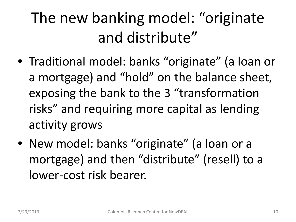### The new banking model: "originate and distribute"

- Traditional model: banks "originate" (a loan or a mortgage) and "hold" on the balance sheet, exposing the bank to the 3 "transformation risks" and requiring more capital as lending activity grows
- New model: banks "originate" (a loan or a mortgage) and then "distribute" (resell) to a lower-cost risk bearer.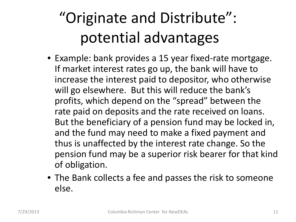### "Originate and Distribute": potential advantages

- Example: bank provides a 15 year fixed-rate mortgage. If market interest rates go up, the bank will have to increase the interest paid to depositor, who otherwise will go elsewhere. But this will reduce the bank's profits, which depend on the "spread" between the rate paid on deposits and the rate received on loans. But the beneficiary of a pension fund may be locked in, and the fund may need to make a fixed payment and thus is unaffected by the interest rate change. So the pension fund may be a superior risk bearer for that kind of obligation.
- The Bank collects a fee and passes the risk to someone else.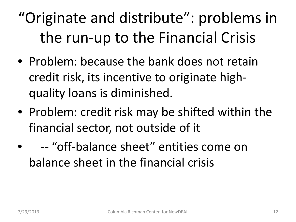### "Originate and distribute": problems in the run-up to the Financial Crisis

- Problem: because the bank does not retain credit risk, its incentive to originate highquality loans is diminished.
- Problem: credit risk may be shifted within the financial sector, not outside of it
	- -- "off-balance sheet" entities come on balance sheet in the financial crisis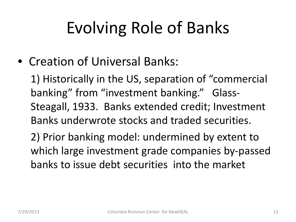## Evolving Role of Banks

• Creation of Universal Banks:

1) Historically in the US, separation of "commercial banking" from "investment banking." Glass-Steagall, 1933. Banks extended credit; Investment Banks underwrote stocks and traded securities.

2) Prior banking model: undermined by extent to which large investment grade companies by-passed banks to issue debt securities into the market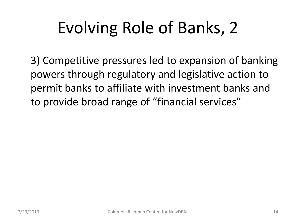## Evolving Role of Banks, 2

3) Competitive pressures led to expansion of banking powers through regulatory and legislative action to permit banks to affiliate with investment banks and to provide broad range of "financial services"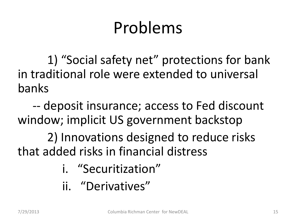### Problems

1) "Social safety net" protections for bank in traditional role were extended to universal banks

 -- deposit insurance; access to Fed discount window; implicit US government backstop

2) Innovations designed to reduce risks that added risks in financial distress

- i. "Securitization"
- ii. "Derivatives"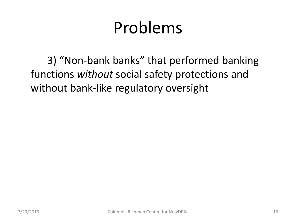### Problems

3) "Non-bank banks" that performed banking functions *without* social safety protections and without bank-like regulatory oversight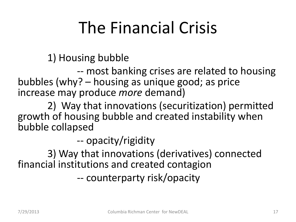## The Financial Crisis

1) Housing bubble

-- most banking crises are related to housing bubbles (why? – housing as unique good; as price increase may produce *more* demand)

2) Way that innovations (securitization) permitted growth of housing bubble and created instability when bubble collapsed

-- opacity/rigidity

3) Way that innovations (derivatives) connected financial institutions and created contagion

-- counterparty risk/opacity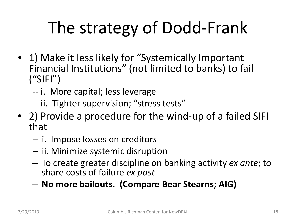## The strategy of Dodd-Frank

- 1) Make it less likely for "Systemically Important" Financial Institutions" (not limited to banks) to fail  $(''SIF'')$ 
	- -- i. More capital; less leverage
	- -- ii. Tighter supervision; "stress tests"
- 2) Provide a procedure for the wind-up of a failed SIFI that
	- i. Impose losses on creditors
	- ii. Minimize systemic disruption
	- To create greater discipline on banking activity *ex ante*; to share costs of failure *ex post*
	- **No more bailouts. (Compare Bear Stearns; AIG)**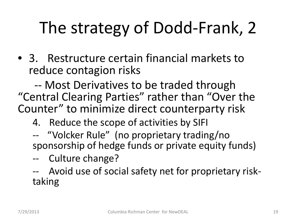# The strategy of Dodd-Frank, 2

• 3. Restructure certain financial markets to reduce contagion risks

 -- Most Derivatives to be traded through "Central Clearing Parties" rather than "Over the Counter" to minimize direct counterparty risk

- 4. Reduce the scope of activities by SIFI
- -- "Volcker Rule" (no proprietary trading/no sponsorship of hedge funds or private equity funds)
- -- Culture change?

-- Avoid use of social safety net for proprietary risk-<br>taking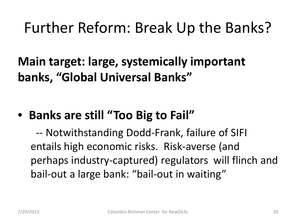#### Further Reform: Break Up the Banks?

**Main target: large, systemically important banks, "Global Universal Banks"** 

#### • **Banks are still "Too Big to Fail"**

 -- Notwithstanding Dodd-Frank, failure of SIFI entails high economic risks. Risk-averse (and perhaps industry-captured) regulators will flinch and bail-out a large bank: "bail-out in waiting"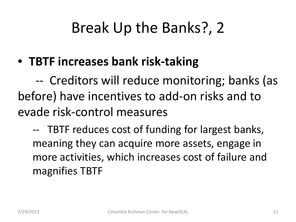#### Break Up the Banks?, 2

• **TBTF increases bank risk-taking**

 -- Creditors will reduce monitoring; banks (as before) have incentives to add-on risks and to evade risk-control measures

-- TBTF reduces cost of funding for largest banks, meaning they can acquire more assets, engage in more activities, which increases cost of failure and magnifies TBTF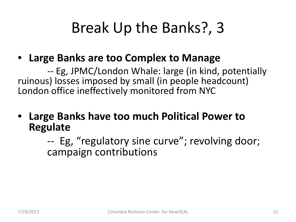#### Break Up the Banks?, 3

#### • **Large Banks are too Complex to Manage**

-- Eg, JPMC/London Whale: large (in kind, potentially ruinous) losses imposed by small (in people headcount) London office ineffectively monitored from NYC

• **Large Banks have too much Political Power to Regulate**

> -- Eg, "regulatory sine curve"; revolving door; campaign contributions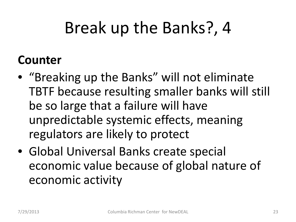### Break up the Banks?, 4

#### **Counter**

- "Breaking up the Banks" will not eliminate TBTF because resulting smaller banks will still be so large that a failure will have unpredictable systemic effects, meaning regulators are likely to protect
- Global Universal Banks create special economic value because of global nature of economic activity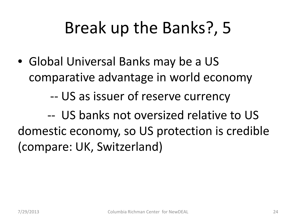### Break up the Banks?, 5

• Global Universal Banks may be a US comparative advantage in world economy

-- US as issuer of reserve currency

-- US banks not oversized relative to US domestic economy, so US protection is credible (compare: UK, Switzerland)